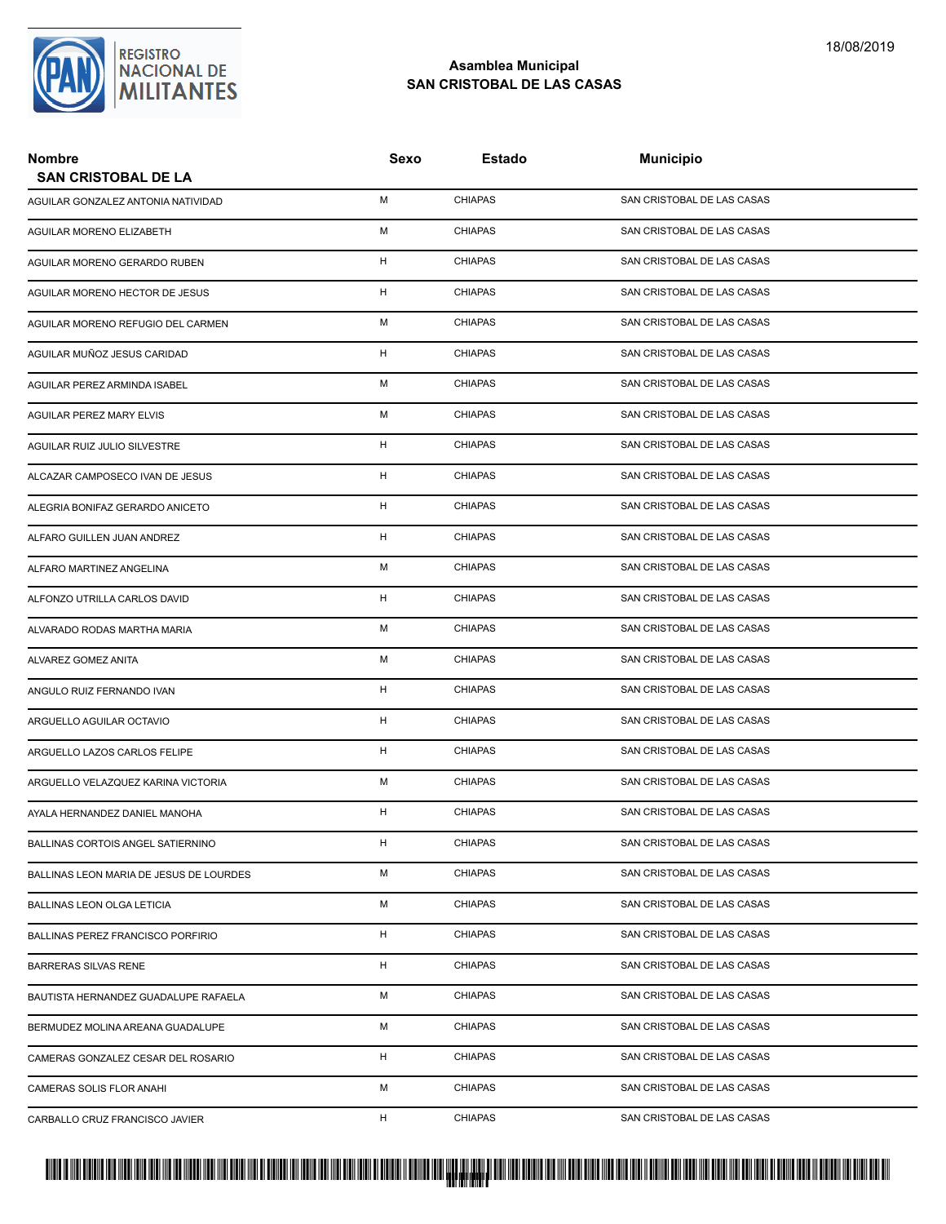

| <b>Nombre</b><br><b>SAN CRISTOBAL DE LA</b> | Sexo | Estado         | <b>Municipio</b>           |
|---------------------------------------------|------|----------------|----------------------------|
|                                             | М    | <b>CHIAPAS</b> | SAN CRISTOBAL DE LAS CASAS |
| AGUILAR GONZALEZ ANTONIA NATIVIDAD          |      |                |                            |
| AGUILAR MORENO ELIZABETH                    | М    | <b>CHIAPAS</b> | SAN CRISTOBAL DE LAS CASAS |
| AGUILAR MORENO GERARDO RUBEN                | H    | <b>CHIAPAS</b> | SAN CRISTOBAL DE LAS CASAS |
| AGUILAR MORENO HECTOR DE JESUS              | H    | <b>CHIAPAS</b> | SAN CRISTOBAL DE LAS CASAS |
| AGUILAR MORENO REFUGIO DEL CARMEN           | Μ    | <b>CHIAPAS</b> | SAN CRISTOBAL DE LAS CASAS |
| AGUILAR MUÑOZ JESUS CARIDAD                 | н    | <b>CHIAPAS</b> | SAN CRISTOBAL DE LAS CASAS |
| AGUILAR PEREZ ARMINDA ISABEL                | М    | <b>CHIAPAS</b> | SAN CRISTOBAL DE LAS CASAS |
| AGUILAR PEREZ MARY ELVIS                    | М    | <b>CHIAPAS</b> | SAN CRISTOBAL DE LAS CASAS |
| AGUILAR RUIZ JULIO SILVESTRE                | H    | <b>CHIAPAS</b> | SAN CRISTOBAL DE LAS CASAS |
| ALCAZAR CAMPOSECO IVAN DE JESUS             | H    | <b>CHIAPAS</b> | SAN CRISTOBAL DE LAS CASAS |
| ALEGRIA BONIFAZ GERARDO ANICETO             | н    | <b>CHIAPAS</b> | SAN CRISTOBAL DE LAS CASAS |
| ALFARO GUILLEN JUAN ANDREZ                  | н    | <b>CHIAPAS</b> | SAN CRISTOBAL DE LAS CASAS |
| ALFARO MARTINEZ ANGELINA                    | М    | <b>CHIAPAS</b> | SAN CRISTOBAL DE LAS CASAS |
| ALFONZO UTRILLA CARLOS DAVID                | H    | <b>CHIAPAS</b> | SAN CRISTOBAL DE LAS CASAS |
| ALVARADO RODAS MARTHA MARIA                 | Μ    | <b>CHIAPAS</b> | SAN CRISTOBAL DE LAS CASAS |
| ALVAREZ GOMEZ ANITA                         | М    | <b>CHIAPAS</b> | SAN CRISTOBAL DE LAS CASAS |
| ANGULO RUIZ FERNANDO IVAN                   | H    | <b>CHIAPAS</b> | SAN CRISTOBAL DE LAS CASAS |
| ARGUELLO AGUILAR OCTAVIO                    | H    | <b>CHIAPAS</b> | SAN CRISTOBAL DE LAS CASAS |
| ARGUELLO LAZOS CARLOS FELIPE                | н    | <b>CHIAPAS</b> | SAN CRISTOBAL DE LAS CASAS |
| ARGUELLO VELAZQUEZ KARINA VICTORIA          | М    | <b>CHIAPAS</b> | SAN CRISTOBAL DE LAS CASAS |
| AYALA HERNANDEZ DANIEL MANOHA               | н    | <b>CHIAPAS</b> | SAN CRISTOBAL DE LAS CASAS |
| BALLINAS CORTOIS ANGEL SATIERNINO           | H    | <b>CHIAPAS</b> | SAN CRISTOBAL DE LAS CASAS |
| BALLINAS LEON MARIA DE JESUS DE LOURDES     | м    | <b>CHIAPAS</b> | SAN CRISTOBAL DE LAS CASAS |
| BALLINAS LEON OLGA LETICIA                  | М    | <b>CHIAPAS</b> | SAN CRISTOBAL DE LAS CASAS |
| BALLINAS PEREZ FRANCISCO PORFIRIO           | н    | <b>CHIAPAS</b> | SAN CRISTOBAL DE LAS CASAS |
| <b>BARRERAS SILVAS RENE</b>                 | н    | <b>CHIAPAS</b> | SAN CRISTOBAL DE LAS CASAS |
| BAUTISTA HERNANDEZ GUADALUPE RAFAELA        | М    | <b>CHIAPAS</b> | SAN CRISTOBAL DE LAS CASAS |
| BERMUDEZ MOLINA AREANA GUADALUPE            | М    | <b>CHIAPAS</b> | SAN CRISTOBAL DE LAS CASAS |
| CAMERAS GONZALEZ CESAR DEL ROSARIO          | н    | <b>CHIAPAS</b> | SAN CRISTOBAL DE LAS CASAS |
| CAMERAS SOLIS FLOR ANAHI                    | м    | <b>CHIAPAS</b> | SAN CRISTOBAL DE LAS CASAS |
| CARBALLO CRUZ FRANCISCO JAVIER              | н    | <b>CHIAPAS</b> | SAN CRISTOBAL DE LAS CASAS |

# PROTUCCION SU REGION DA SU REGIONAL DE MILITAR DA SU REGIONAL DE MILITANTES CONTRADO NACIONAL DE MILITANTES CON <mark>. Pangyakan k</mark>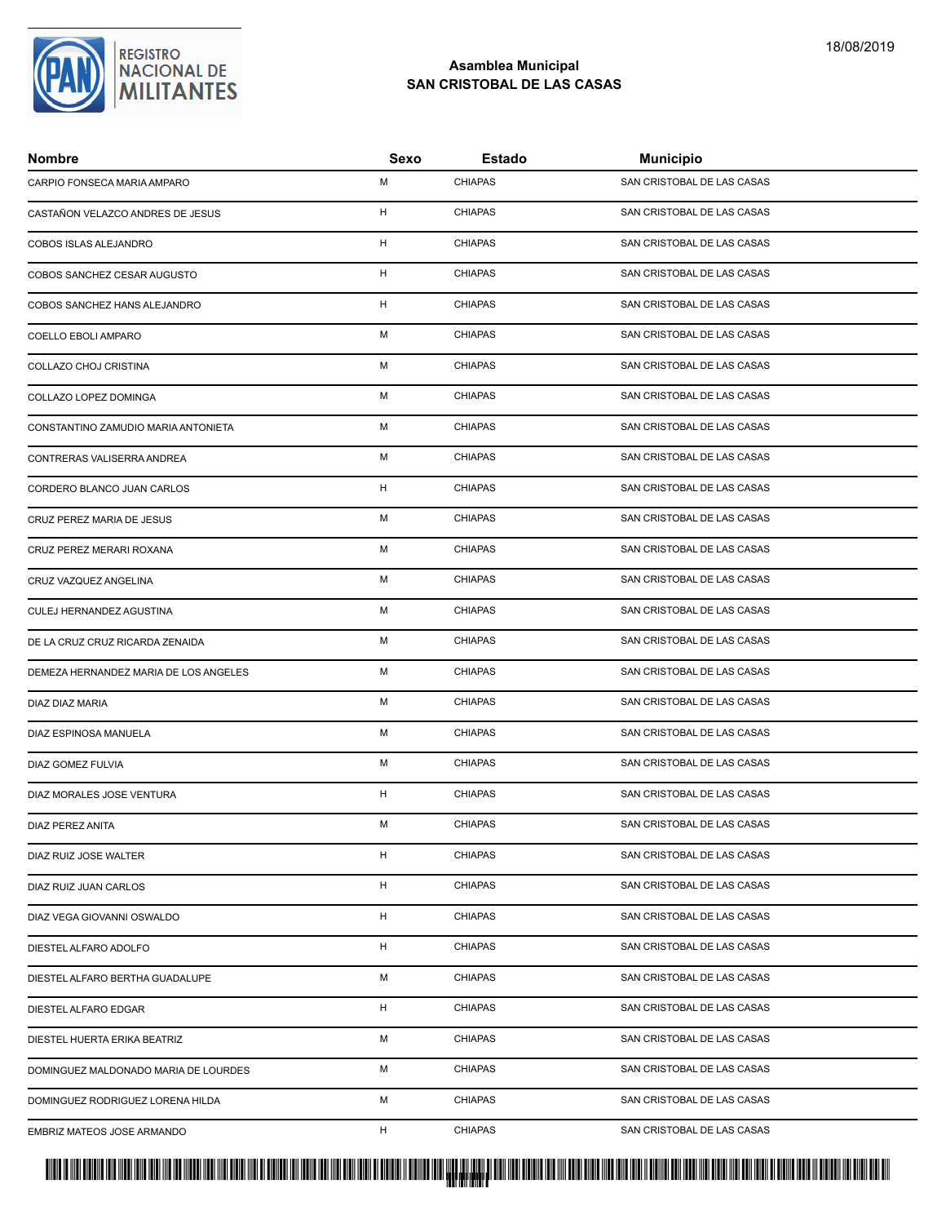

| <b>Nombre</b>                         | Sexo | Estado         | <b>Municipio</b>           |
|---------------------------------------|------|----------------|----------------------------|
| CARPIO FONSECA MARIA AMPARO           | М    | <b>CHIAPAS</b> | SAN CRISTOBAL DE LAS CASAS |
| CASTAÑON VELAZCO ANDRES DE JESUS      | н    | <b>CHIAPAS</b> | SAN CRISTOBAL DE LAS CASAS |
| COBOS ISLAS ALEJANDRO                 | H    | <b>CHIAPAS</b> | SAN CRISTOBAL DE LAS CASAS |
| COBOS SANCHEZ CESAR AUGUSTO           | H    | <b>CHIAPAS</b> | SAN CRISTOBAL DE LAS CASAS |
| COBOS SANCHEZ HANS ALEJANDRO          | H    | <b>CHIAPAS</b> | SAN CRISTOBAL DE LAS CASAS |
| COELLO EBOLI AMPARO                   | М    | <b>CHIAPAS</b> | SAN CRISTOBAL DE LAS CASAS |
| COLLAZO CHOJ CRISTINA                 | М    | <b>CHIAPAS</b> | SAN CRISTOBAL DE LAS CASAS |
| COLLAZO LOPEZ DOMINGA                 | M    | <b>CHIAPAS</b> | SAN CRISTOBAL DE LAS CASAS |
| CONSTANTINO ZAMUDIO MARIA ANTONIETA   | М    | <b>CHIAPAS</b> | SAN CRISTOBAL DE LAS CASAS |
| CONTRERAS VALISERRA ANDREA            | М    | <b>CHIAPAS</b> | SAN CRISTOBAL DE LAS CASAS |
| CORDERO BLANCO JUAN CARLOS            | H    | <b>CHIAPAS</b> | SAN CRISTOBAL DE LAS CASAS |
| CRUZ PEREZ MARIA DE JESUS             | М    | <b>CHIAPAS</b> | SAN CRISTOBAL DE LAS CASAS |
| CRUZ PEREZ MERARI ROXANA              | М    | <b>CHIAPAS</b> | SAN CRISTOBAL DE LAS CASAS |
| CRUZ VAZQUEZ ANGELINA                 | М    | <b>CHIAPAS</b> | SAN CRISTOBAL DE LAS CASAS |
| CULEJ HERNANDEZ AGUSTINA              | М    | <b>CHIAPAS</b> | SAN CRISTOBAL DE LAS CASAS |
| DE LA CRUZ CRUZ RICARDA ZENAIDA       | М    | <b>CHIAPAS</b> | SAN CRISTOBAL DE LAS CASAS |
| DEMEZA HERNANDEZ MARIA DE LOS ANGELES | М    | <b>CHIAPAS</b> | SAN CRISTOBAL DE LAS CASAS |
| DIAZ DIAZ MARIA                       | М    | <b>CHIAPAS</b> | SAN CRISTOBAL DE LAS CASAS |
| DIAZ ESPINOSA MANUELA                 | М    | <b>CHIAPAS</b> | SAN CRISTOBAL DE LAS CASAS |
| DIAZ GOMEZ FULVIA                     | М    | <b>CHIAPAS</b> | SAN CRISTOBAL DE LAS CASAS |
| DIAZ MORALES JOSE VENTURA             | H    | <b>CHIAPAS</b> | SAN CRISTOBAL DE LAS CASAS |
| <b>DIAZ PEREZ ANITA</b>               | М    | <b>CHIAPAS</b> | SAN CRISTOBAL DE LAS CASAS |
| DIAZ RUIZ JOSE WALTER                 | H    | <b>CHIAPAS</b> | SAN CRISTOBAL DE LAS CASAS |
| DIAZ RUIZ JUAN CARLOS                 | H    | <b>CHIAPAS</b> | SAN CRISTOBAL DE LAS CASAS |
| DIAZ VEGA GIOVANNI OSWALDO            | H    | <b>CHIAPAS</b> | SAN CRISTOBAL DE LAS CASAS |
| DIESTEL ALFARO ADOLFO                 | H    | <b>CHIAPAS</b> | SAN CRISTOBAL DE LAS CASAS |
| DIESTEL ALFARO BERTHA GUADALUPE       | М    | <b>CHIAPAS</b> | SAN CRISTOBAL DE LAS CASAS |
| DIESTEL ALFARO EDGAR                  | H    | <b>CHIAPAS</b> | SAN CRISTOBAL DE LAS CASAS |
| DIESTEL HUERTA ERIKA BEATRIZ          | М    | <b>CHIAPAS</b> | SAN CRISTOBAL DE LAS CASAS |
| DOMINGUEZ MALDONADO MARIA DE LOURDES  | М    | <b>CHIAPAS</b> | SAN CRISTOBAL DE LAS CASAS |
| DOMINGUEZ RODRIGUEZ LORENA HILDA      | М    | <b>CHIAPAS</b> | SAN CRISTOBAL DE LAS CASAS |
| EMBRIZ MATEOS JOSE ARMANDO            | H    | <b>CHIAPAS</b> | SAN CRISTOBAL DE LAS CASAS |

# PROTUCCION SU REGION DA SU REGIONAL DE MILITAR DA SU REGIONAL DE MILITANTES CONTRADO NACIONAL DE MILITANTES CON <mark>. Pangyakan k</mark>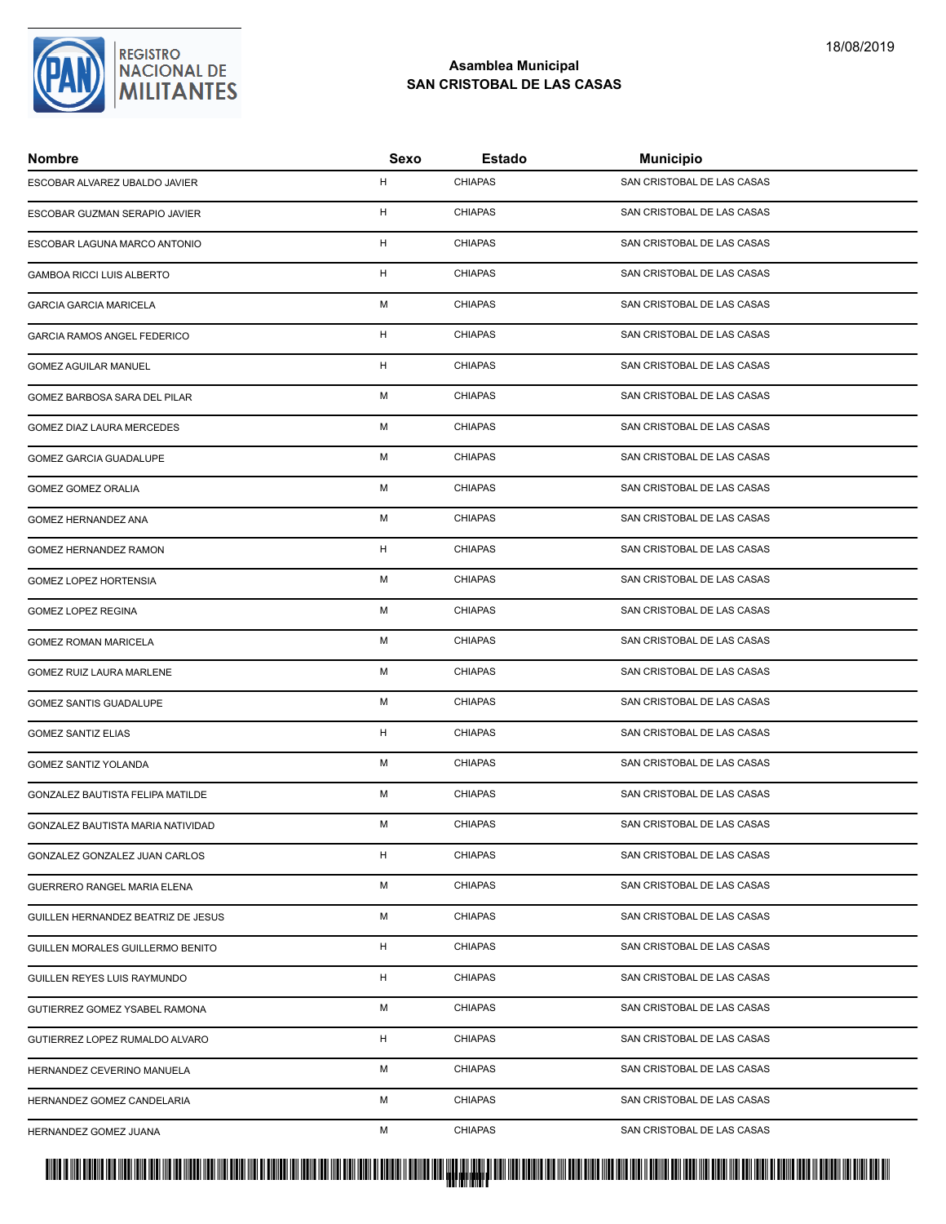

| <b>Nombre</b>                      | Sexo         | Estado         | <b>Municipio</b>           |
|------------------------------------|--------------|----------------|----------------------------|
| ESCOBAR ALVAREZ UBALDO JAVIER      | H            | <b>CHIAPAS</b> | SAN CRISTOBAL DE LAS CASAS |
| ESCOBAR GUZMAN SERAPIO JAVIER      | H            | <b>CHIAPAS</b> | SAN CRISTOBAL DE LAS CASAS |
| ESCOBAR LAGUNA MARCO ANTONIO       | H            | <b>CHIAPAS</b> | SAN CRISTOBAL DE LAS CASAS |
| <b>GAMBOA RICCI LUIS ALBERTO</b>   | H            | <b>CHIAPAS</b> | SAN CRISTOBAL DE LAS CASAS |
| <b>GARCIA GARCIA MARICELA</b>      | м            | <b>CHIAPAS</b> | SAN CRISTOBAL DE LAS CASAS |
| <b>GARCIA RAMOS ANGEL FEDERICO</b> | H            | <b>CHIAPAS</b> | SAN CRISTOBAL DE LAS CASAS |
| <b>GOMEZ AGUILAR MANUEL</b>        | H            | <b>CHIAPAS</b> | SAN CRISTOBAL DE LAS CASAS |
| GOMEZ BARBOSA SARA DEL PILAR       | M            | <b>CHIAPAS</b> | SAN CRISTOBAL DE LAS CASAS |
| <b>GOMEZ DIAZ LAURA MERCEDES</b>   | M            | <b>CHIAPAS</b> | SAN CRISTOBAL DE LAS CASAS |
| GOMEZ GARCIA GUADALUPE             | м            | <b>CHIAPAS</b> | SAN CRISTOBAL DE LAS CASAS |
| GOMEZ GOMEZ ORALIA                 | M            | <b>CHIAPAS</b> | SAN CRISTOBAL DE LAS CASAS |
| GOMEZ HERNANDEZ ANA                | M            | <b>CHIAPAS</b> | SAN CRISTOBAL DE LAS CASAS |
| GOMEZ HERNANDEZ RAMON              | $\mathsf{H}$ | <b>CHIAPAS</b> | SAN CRISTOBAL DE LAS CASAS |
| <b>GOMEZ LOPEZ HORTENSIA</b>       | M            | <b>CHIAPAS</b> | SAN CRISTOBAL DE LAS CASAS |
| GOMEZ LOPEZ REGINA                 | м            | <b>CHIAPAS</b> | SAN CRISTOBAL DE LAS CASAS |
| <b>GOMEZ ROMAN MARICELA</b>        | M            | <b>CHIAPAS</b> | SAN CRISTOBAL DE LAS CASAS |
| GOMEZ RUIZ LAURA MARLENE           | M            | <b>CHIAPAS</b> | SAN CRISTOBAL DE LAS CASAS |
| GOMEZ SANTIS GUADALUPE             | M            | <b>CHIAPAS</b> | SAN CRISTOBAL DE LAS CASAS |
| <b>GOMEZ SANTIZ ELIAS</b>          | H            | <b>CHIAPAS</b> | SAN CRISTOBAL DE LAS CASAS |
| <b>GOMEZ SANTIZ YOLANDA</b>        | M            | <b>CHIAPAS</b> | SAN CRISTOBAL DE LAS CASAS |
| GONZALEZ BAUTISTA FELIPA MATILDE   | M            | <b>CHIAPAS</b> | SAN CRISTOBAL DE LAS CASAS |
| GONZALEZ BAUTISTA MARIA NATIVIDAD  | м            | <b>CHIAPAS</b> | SAN CRISTOBAL DE LAS CASAS |
| GONZALEZ GONZALEZ JUAN CARLOS      | H            | <b>CHIAPAS</b> | SAN CRISTOBAL DE LAS CASAS |
| GUERRERO RANGEL MARIA ELENA        | м            | <b>CHIAPAS</b> | SAN CRISTOBAL DE LAS CASAS |
| GUILLEN HERNANDEZ BEATRIZ DE JESUS | М            | <b>CHIAPAS</b> | SAN CRISTOBAL DE LAS CASAS |
| GUILLEN MORALES GUILLERMO BENITO   | H            | <b>CHIAPAS</b> | SAN CRISTOBAL DE LAS CASAS |
| GUILLEN REYES LUIS RAYMUNDO        | H            | <b>CHIAPAS</b> | SAN CRISTOBAL DE LAS CASAS |
| GUTIERREZ GOMEZ YSABEL RAMONA      | M            | <b>CHIAPAS</b> | SAN CRISTOBAL DE LAS CASAS |
| GUTIERREZ LOPEZ RUMALDO ALVARO     | H            | <b>CHIAPAS</b> | SAN CRISTOBAL DE LAS CASAS |
| HERNANDEZ CEVERINO MANUELA         | М            | <b>CHIAPAS</b> | SAN CRISTOBAL DE LAS CASAS |
| HERNANDEZ GOMEZ CANDELARIA         | М            | <b>CHIAPAS</b> | SAN CRISTOBAL DE LAS CASAS |
| HERNANDEZ GOMEZ JUANA              | M            | <b>CHIAPAS</b> | SAN CRISTOBAL DE LAS CASAS |

<mark>. Pangyakan k</mark>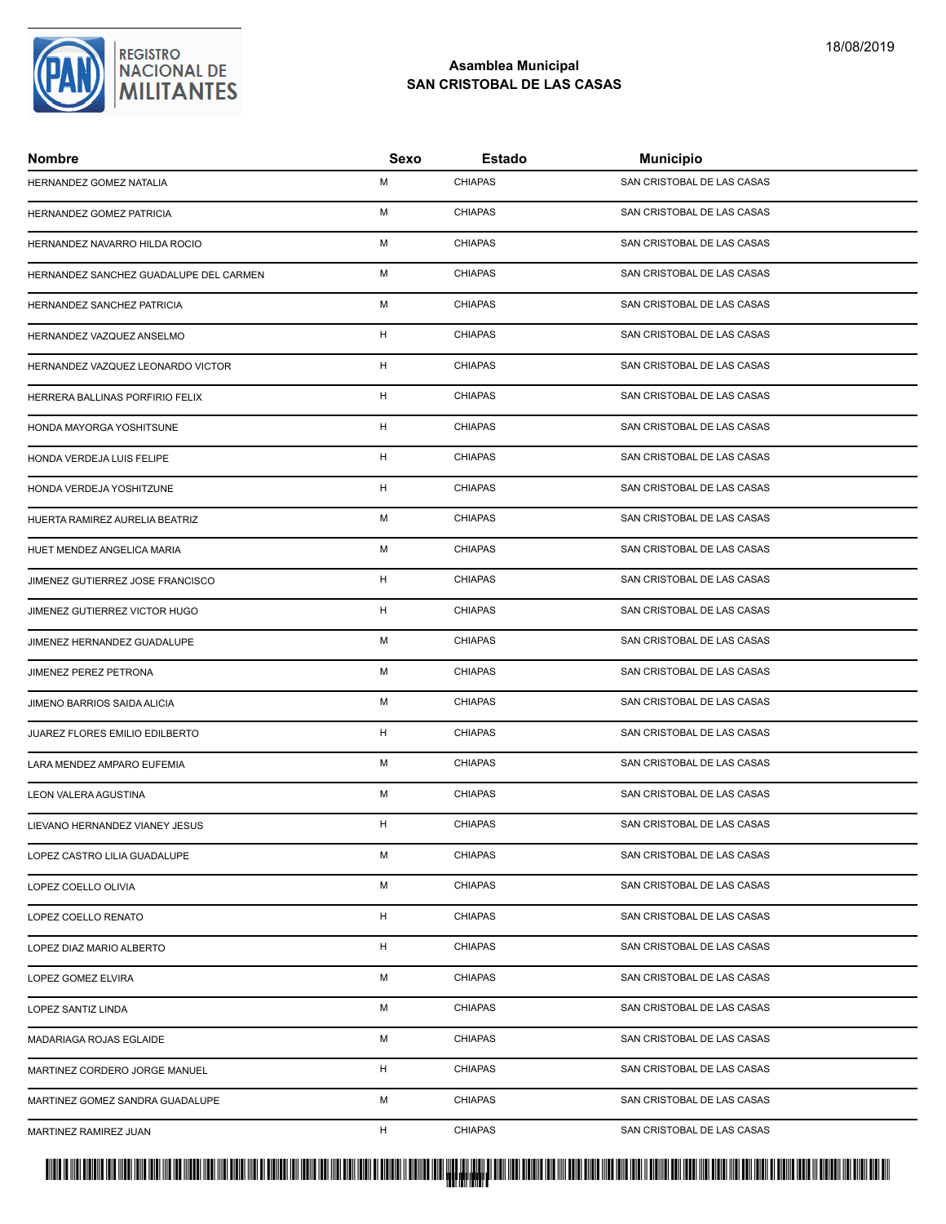# REGISTRO<br>NACIONAL DE<br>**MILITANTES**

# **Asamblea Municipal SAN CRISTOBAL DE LAS CASAS**

| <b>Nombre</b>                          | Sexo | Estado         | <b>Municipio</b>           |
|----------------------------------------|------|----------------|----------------------------|
| HERNANDEZ GOMEZ NATALIA                | M    | <b>CHIAPAS</b> | SAN CRISTOBAL DE LAS CASAS |
| HERNANDEZ GOMEZ PATRICIA               | M    | <b>CHIAPAS</b> | SAN CRISTOBAL DE LAS CASAS |
| HERNANDEZ NAVARRO HILDA ROCIO          | M    | <b>CHIAPAS</b> | SAN CRISTOBAL DE LAS CASAS |
| HERNANDEZ SANCHEZ GUADALUPE DEL CARMEN | M    | <b>CHIAPAS</b> | SAN CRISTOBAL DE LAS CASAS |
| HERNANDEZ SANCHEZ PATRICIA             | м    | <b>CHIAPAS</b> | SAN CRISTOBAL DE LAS CASAS |
| HERNANDEZ VAZQUEZ ANSELMO              | H    | <b>CHIAPAS</b> | SAN CRISTOBAL DE LAS CASAS |
| HERNANDEZ VAZQUEZ LEONARDO VICTOR      | H    | <b>CHIAPAS</b> | SAN CRISTOBAL DE LAS CASAS |
| HERRERA BALLINAS PORFIRIO FELIX        | H    | <b>CHIAPAS</b> | SAN CRISTOBAL DE LAS CASAS |
| HONDA MAYORGA YOSHITSUNE               | H    | <b>CHIAPAS</b> | SAN CRISTOBAL DE LAS CASAS |
| HONDA VERDEJA LUIS FELIPE              | H    | <b>CHIAPAS</b> | SAN CRISTOBAL DE LAS CASAS |
| HONDA VERDEJA YOSHITZUNE               | H    | <b>CHIAPAS</b> | SAN CRISTOBAL DE LAS CASAS |
| HUERTA RAMIREZ AURELIA BEATRIZ         | M    | <b>CHIAPAS</b> | SAN CRISTOBAL DE LAS CASAS |
| HUET MENDEZ ANGELICA MARIA             | M    | <b>CHIAPAS</b> | SAN CRISTOBAL DE LAS CASAS |
| JIMENEZ GUTIERREZ JOSE FRANCISCO       | H    | <b>CHIAPAS</b> | SAN CRISTOBAL DE LAS CASAS |
| JIMENEZ GUTIERREZ VICTOR HUGO          | H    | <b>CHIAPAS</b> | SAN CRISTOBAL DE LAS CASAS |
| JIMENEZ HERNANDEZ GUADALUPE            | M    | <b>CHIAPAS</b> | SAN CRISTOBAL DE LAS CASAS |
| JIMENEZ PEREZ PETRONA                  | M    | <b>CHIAPAS</b> | SAN CRISTOBAL DE LAS CASAS |
| JIMENO BARRIOS SAIDA ALICIA            | M    | <b>CHIAPAS</b> | SAN CRISTOBAL DE LAS CASAS |
| JUAREZ FLORES EMILIO EDILBERTO         | H    | <b>CHIAPAS</b> | SAN CRISTOBAL DE LAS CASAS |
| LARA MENDEZ AMPARO EUFEMIA             | M    | <b>CHIAPAS</b> | SAN CRISTOBAL DE LAS CASAS |
| LEON VALERA AGUSTINA                   | M    | <b>CHIAPAS</b> | SAN CRISTOBAL DE LAS CASAS |
| LIEVANO HERNANDEZ VIANEY JESUS         | H    | <b>CHIAPAS</b> | SAN CRISTOBAL DE LAS CASAS |
| LOPEZ CASTRO LILIA GUADALUPE           | M    | <b>CHIAPAS</b> | SAN CRISTOBAL DE LAS CASAS |
| LOPEZ COELLO OLIVIA                    | м    | <b>CHIAPAS</b> | SAN CRISTOBAL DE LAS CASAS |
| LOPEZ COELLO RENATO                    | H    | <b>CHIAPAS</b> | SAN CRISTOBAL DE LAS CASAS |
| LOPEZ DIAZ MARIO ALBERTO               | H    | <b>CHIAPAS</b> | SAN CRISTOBAL DE LAS CASAS |
| LOPEZ GOMEZ ELVIRA                     | м    | <b>CHIAPAS</b> | SAN CRISTOBAL DE LAS CASAS |
| LOPEZ SANTIZ LINDA                     | M    | <b>CHIAPAS</b> | SAN CRISTOBAL DE LAS CASAS |
| MADARIAGA ROJAS EGLAIDE                | М    | <b>CHIAPAS</b> | SAN CRISTOBAL DE LAS CASAS |
| MARTINEZ CORDERO JORGE MANUEL          | H    | <b>CHIAPAS</b> | SAN CRISTOBAL DE LAS CASAS |
| MARTINEZ GOMEZ SANDRA GUADALUPE        | М    | <b>CHIAPAS</b> | SAN CRISTOBAL DE LAS CASAS |
| MARTINEZ RAMIREZ JUAN                  | H    | <b>CHIAPAS</b> | SAN CRISTOBAL DE LAS CASAS |

<mark>. Pangyakan k</mark>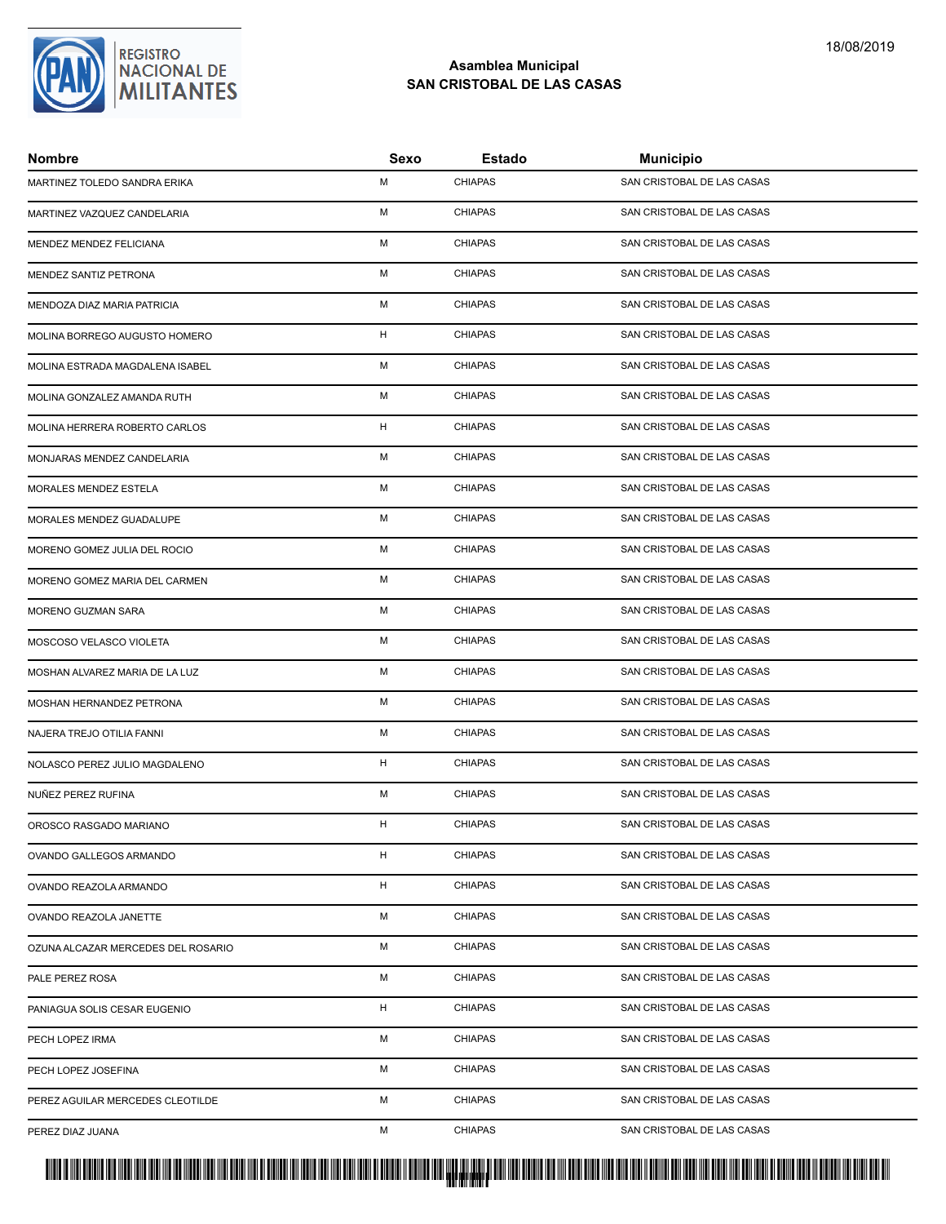

| <b>Nombre</b>                      | Sexo | Estado         | <b>Municipio</b>           |
|------------------------------------|------|----------------|----------------------------|
| MARTINEZ TOLEDO SANDRA ERIKA       | M    | <b>CHIAPAS</b> | SAN CRISTOBAL DE LAS CASAS |
| MARTINEZ VAZQUEZ CANDELARIA        | M    | <b>CHIAPAS</b> | SAN CRISTOBAL DE LAS CASAS |
| MENDEZ MENDEZ FELICIANA            | M    | <b>CHIAPAS</b> | SAN CRISTOBAL DE LAS CASAS |
| MENDEZ SANTIZ PETRONA              | M    | <b>CHIAPAS</b> | SAN CRISTOBAL DE LAS CASAS |
| MENDOZA DIAZ MARIA PATRICIA        | м    | <b>CHIAPAS</b> | SAN CRISTOBAL DE LAS CASAS |
| MOLINA BORREGO AUGUSTO HOMERO      | H    | <b>CHIAPAS</b> | SAN CRISTOBAL DE LAS CASAS |
| MOLINA ESTRADA MAGDALENA ISABEL    | M    | <b>CHIAPAS</b> | SAN CRISTOBAL DE LAS CASAS |
| MOLINA GONZALEZ AMANDA RUTH        | M    | <b>CHIAPAS</b> | SAN CRISTOBAL DE LAS CASAS |
| MOLINA HERRERA ROBERTO CARLOS      | H    | <b>CHIAPAS</b> | SAN CRISTOBAL DE LAS CASAS |
| MONJARAS MENDEZ CANDELARIA         | м    | <b>CHIAPAS</b> | SAN CRISTOBAL DE LAS CASAS |
| MORALES MENDEZ ESTELA              | M    | <b>CHIAPAS</b> | SAN CRISTOBAL DE LAS CASAS |
| MORALES MENDEZ GUADALUPE           | M    | <b>CHIAPAS</b> | SAN CRISTOBAL DE LAS CASAS |
| MORENO GOMEZ JULIA DEL ROCIO       | M    | <b>CHIAPAS</b> | SAN CRISTOBAL DE LAS CASAS |
| MORENO GOMEZ MARIA DEL CARMEN      | M    | <b>CHIAPAS</b> | SAN CRISTOBAL DE LAS CASAS |
| MORENO GUZMAN SARA                 | м    | <b>CHIAPAS</b> | SAN CRISTOBAL DE LAS CASAS |
| MOSCOSO VELASCO VIOLETA            | M    | <b>CHIAPAS</b> | SAN CRISTOBAL DE LAS CASAS |
| MOSHAN ALVAREZ MARIA DE LA LUZ     | M    | <b>CHIAPAS</b> | SAN CRISTOBAL DE LAS CASAS |
| MOSHAN HERNANDEZ PETRONA           | M    | <b>CHIAPAS</b> | SAN CRISTOBAL DE LAS CASAS |
| NAJERA TREJO OTILIA FANNI          | M    | <b>CHIAPAS</b> | SAN CRISTOBAL DE LAS CASAS |
| NOLASCO PEREZ JULIO MAGDALENO      | H    | <b>CHIAPAS</b> | SAN CRISTOBAL DE LAS CASAS |
| NUÑEZ PEREZ RUFINA                 | M    | <b>CHIAPAS</b> | SAN CRISTOBAL DE LAS CASAS |
| OROSCO RASGADO MARIANO             | H    | <b>CHIAPAS</b> | SAN CRISTOBAL DE LAS CASAS |
| OVANDO GALLEGOS ARMANDO            | H    | <b>CHIAPAS</b> | SAN CRISTOBAL DE LAS CASAS |
| OVANDO REAZOLA ARMANDO             | H    | <b>CHIAPAS</b> | SAN CRISTOBAL DE LAS CASAS |
| OVANDO REAZOLA JANETTE             | М    | <b>CHIAPAS</b> | SAN CRISTOBAL DE LAS CASAS |
| OZUNA ALCAZAR MERCEDES DEL ROSARIO | М    | <b>CHIAPAS</b> | SAN CRISTOBAL DE LAS CASAS |
| PALE PEREZ ROSA                    | м    | <b>CHIAPAS</b> | SAN CRISTOBAL DE LAS CASAS |
| PANIAGUA SOLIS CESAR EUGENIO       | H    | <b>CHIAPAS</b> | SAN CRISTOBAL DE LAS CASAS |
| PECH LOPEZ IRMA                    | М    | <b>CHIAPAS</b> | SAN CRISTOBAL DE LAS CASAS |
| PECH LOPEZ JOSEFINA                | М    | <b>CHIAPAS</b> | SAN CRISTOBAL DE LAS CASAS |
| PEREZ AGUILAR MERCEDES CLEOTILDE   | М    | <b>CHIAPAS</b> | SAN CRISTOBAL DE LAS CASAS |
| PEREZ DIAZ JUANA                   | M    | <b>CHIAPAS</b> | SAN CRISTOBAL DE LAS CASAS |

<mark>. Pangyakan k</mark>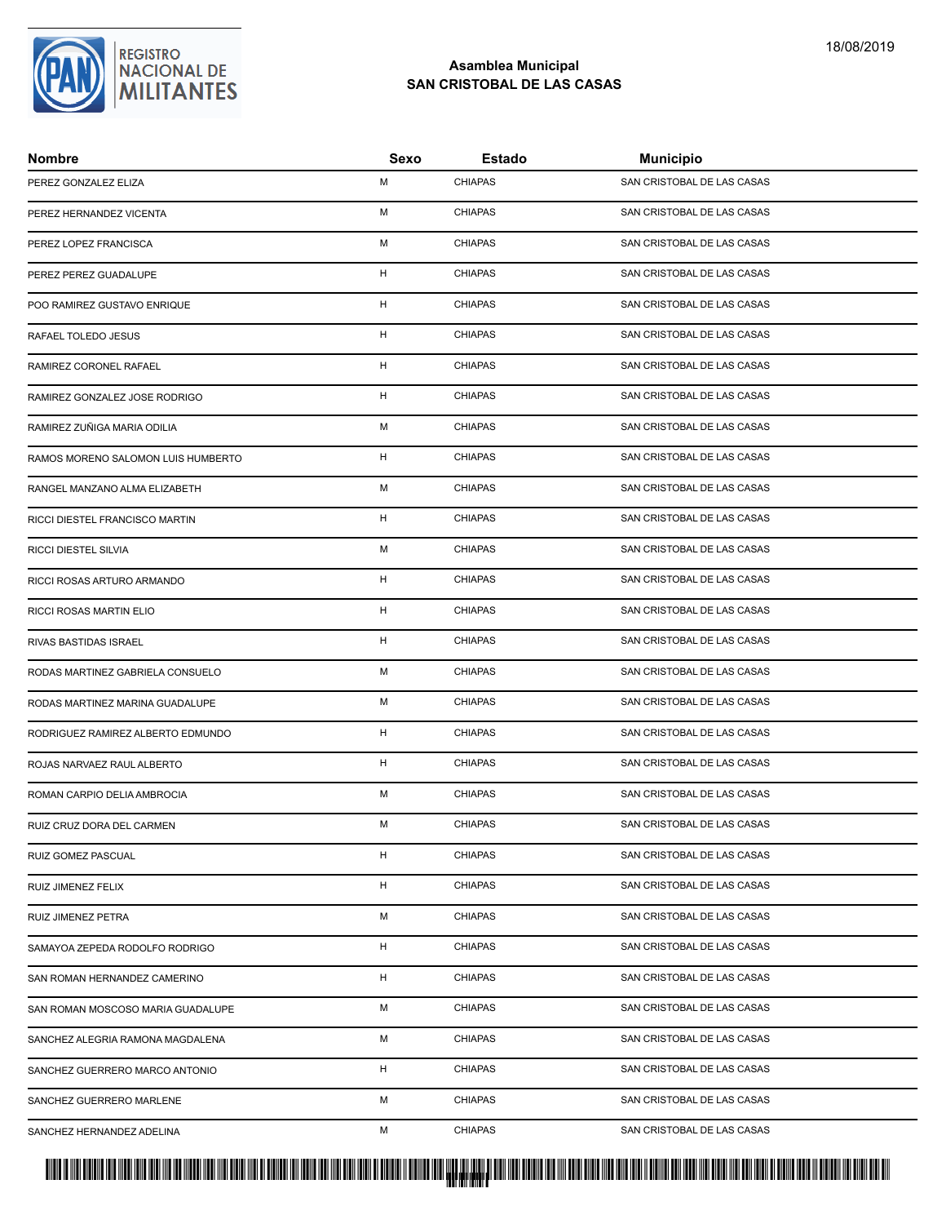

| <b>Nombre</b>                      | Sexo | Estado         | <b>Municipio</b>           |
|------------------------------------|------|----------------|----------------------------|
| PEREZ GONZALEZ ELIZA               | М    | <b>CHIAPAS</b> | SAN CRISTOBAL DE LAS CASAS |
| PEREZ HERNANDEZ VICENTA            | М    | <b>CHIAPAS</b> | SAN CRISTOBAL DE LAS CASAS |
| PEREZ LOPEZ FRANCISCA              | М    | <b>CHIAPAS</b> | SAN CRISTOBAL DE LAS CASAS |
| PEREZ PEREZ GUADALUPE              | H    | <b>CHIAPAS</b> | SAN CRISTOBAL DE LAS CASAS |
| POO RAMIREZ GUSTAVO ENRIQUE        | H    | <b>CHIAPAS</b> | SAN CRISTOBAL DE LAS CASAS |
| RAFAEL TOLEDO JESUS                | H    | <b>CHIAPAS</b> | SAN CRISTOBAL DE LAS CASAS |
| RAMIREZ CORONEL RAFAEL             | н    | <b>CHIAPAS</b> | SAN CRISTOBAL DE LAS CASAS |
| RAMIREZ GONZALEZ JOSE RODRIGO      | н    | <b>CHIAPAS</b> | SAN CRISTOBAL DE LAS CASAS |
| RAMIREZ ZUÑIGA MARIA ODILIA        | М    | <b>CHIAPAS</b> | SAN CRISTOBAL DE LAS CASAS |
| RAMOS MORENO SALOMON LUIS HUMBERTO | H    | <b>CHIAPAS</b> | SAN CRISTOBAL DE LAS CASAS |
| RANGEL MANZANO ALMA ELIZABETH      | М    | <b>CHIAPAS</b> | SAN CRISTOBAL DE LAS CASAS |
| RICCI DIESTEL FRANCISCO MARTIN     | н    | <b>CHIAPAS</b> | SAN CRISTOBAL DE LAS CASAS |
| RICCI DIESTEL SILVIA               | М    | <b>CHIAPAS</b> | SAN CRISTOBAL DE LAS CASAS |
| RICCI ROSAS ARTURO ARMANDO         | H    | <b>CHIAPAS</b> | SAN CRISTOBAL DE LAS CASAS |
| RICCI ROSAS MARTIN ELIO            | н    | <b>CHIAPAS</b> | SAN CRISTOBAL DE LAS CASAS |
| RIVAS BASTIDAS ISRAEL              | H    | <b>CHIAPAS</b> | SAN CRISTOBAL DE LAS CASAS |
| RODAS MARTINEZ GABRIELA CONSUELO   | М    | <b>CHIAPAS</b> | SAN CRISTOBAL DE LAS CASAS |
| RODAS MARTINEZ MARINA GUADALUPE    | М    | <b>CHIAPAS</b> | SAN CRISTOBAL DE LAS CASAS |
| RODRIGUEZ RAMIREZ ALBERTO EDMUNDO  | H    | <b>CHIAPAS</b> | SAN CRISTOBAL DE LAS CASAS |
| ROJAS NARVAEZ RAUL ALBERTO         | H    | <b>CHIAPAS</b> | SAN CRISTOBAL DE LAS CASAS |
| ROMAN CARPIO DELIA AMBROCIA        | М    | <b>CHIAPAS</b> | SAN CRISTOBAL DE LAS CASAS |
| RUIZ CRUZ DORA DEL CARMEN          | M    | <b>CHIAPAS</b> | SAN CRISTOBAL DE LAS CASAS |
| RUIZ GOMEZ PASCUAL                 | H    | <b>CHIAPAS</b> | SAN CRISTOBAL DE LAS CASAS |
| RUIZ JIMENEZ FELIX                 | H    | <b>CHIAPAS</b> | SAN CRISTOBAL DE LAS CASAS |
| RUIZ JIMENEZ PETRA                 | М    | <b>CHIAPAS</b> | SAN CRISTOBAL DE LAS CASAS |
| SAMAYOA ZEPEDA RODOLFO RODRIGO     | H    | <b>CHIAPAS</b> | SAN CRISTOBAL DE LAS CASAS |
| SAN ROMAN HERNANDEZ CAMERINO       | H.   | <b>CHIAPAS</b> | SAN CRISTOBAL DE LAS CASAS |
| SAN ROMAN MOSCOSO MARIA GUADALUPE  | М    | <b>CHIAPAS</b> | SAN CRISTOBAL DE LAS CASAS |
| SANCHEZ ALEGRIA RAMONA MAGDALENA   | М    | <b>CHIAPAS</b> | SAN CRISTOBAL DE LAS CASAS |
| SANCHEZ GUERRERO MARCO ANTONIO     | H    | <b>CHIAPAS</b> | SAN CRISTOBAL DE LAS CASAS |
| SANCHEZ GUERRERO MARLENE           | М    | <b>CHIAPAS</b> | SAN CRISTOBAL DE LAS CASAS |
| SANCHEZ HERNANDEZ ADELINA          | М    | <b>CHIAPAS</b> | SAN CRISTOBAL DE LAS CASAS |

# PROTUCCION SU REGION DA SU REGIONAL DE MILITAR DA SU REGIONAL DE MILITANTES CONTRADO NACIONAL DE MILITANTES CON <mark>. Pangyakan k</mark>